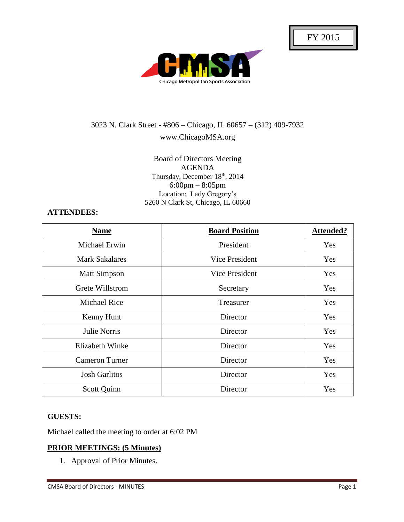

# 3023 N. Clark Street - #806 – Chicago, IL 60657 – (312) 409-7932 www.ChicagoMSA.org

#### Board of Directors Meeting AGENDA Thursday, December 18th, 2014 6:00pm – 8:05pm Location: Lady Gregory's 5260 N Clark St, Chicago, IL 60660

#### **ATTENDEES:**

| <b>Name</b>            | <b>Board Position</b> | <b>Attended?</b> |
|------------------------|-----------------------|------------------|
| Michael Erwin          | President             | Yes              |
| <b>Mark Sakalares</b>  | Vice President        | Yes              |
| <b>Matt Simpson</b>    | Vice President        | <b>Yes</b>       |
| Grete Willstrom        | Secretary             | Yes              |
| <b>Michael Rice</b>    | Treasurer             | Yes              |
| Kenny Hunt             | Director              | Yes              |
| Julie Norris           | Director              | Yes              |
| <b>Elizabeth Winke</b> | Director              | Yes              |
| <b>Cameron Turner</b>  | Director              | Yes              |
| <b>Josh Garlitos</b>   | Director              | Yes              |
| Scott Quinn            | Director              | Yes              |

#### **GUESTS:**

Michael called the meeting to order at 6:02 PM

## **PRIOR MEETINGS: (5 Minutes)**

1. Approval of Prior Minutes.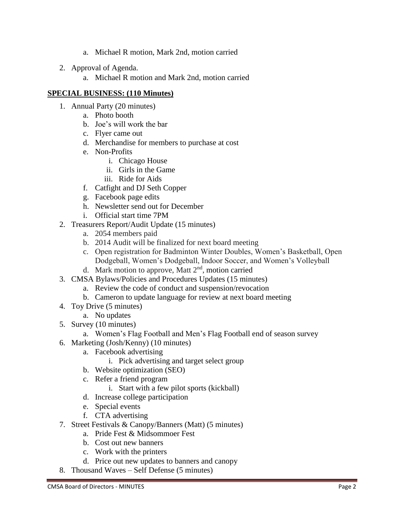- a. Michael R motion, Mark 2nd, motion carried
- 2. Approval of Agenda.
	- a. Michael R motion and Mark 2nd, motion carried

## **SPECIAL BUSINESS: (110 Minutes)**

- 1. Annual Party (20 minutes)
	- a. Photo booth
	- b. Joe's will work the bar
	- c. Flyer came out
	- d. Merchandise for members to purchase at cost
	- e. Non-Profits
		- i. Chicago House
		- ii. Girls in the Game
		- iii. Ride for Aids
	- f. Catfight and DJ Seth Copper
	- g. Facebook page edits
	- h. Newsletter send out for December
	- i. Official start time 7PM
- 2. Treasurers Report/Audit Update (15 minutes)
	- a. 2054 members paid
	- b. 2014 Audit will be finalized for next board meeting
	- c. Open registration for Badminton Winter Doubles, Women's Basketball, Open Dodgeball, Women's Dodgeball, Indoor Soccer, and Women's Volleyball
	- d. Mark motion to approve, Matt 2<sup>nd</sup>, motion carried
- 3. CMSA Bylaws/Policies and Procedures Updates (15 minutes)
	- a. Review the code of conduct and suspension/revocation
	- b. Cameron to update language for review at next board meeting
- 4. Toy Drive (5 minutes)
	- a. No updates
- 5. Survey (10 minutes)
	- a. Women's Flag Football and Men's Flag Football end of season survey
- 6. Marketing (Josh/Kenny) (10 minutes)
	- a. Facebook advertising
		- i. Pick advertising and target select group
	- b. Website optimization (SEO)
	- c. Refer a friend program
		- i. Start with a few pilot sports (kickball)
	- d. Increase college participation
	- e. Special events
	- f. CTA advertising
- 7. Street Festivals & Canopy/Banners (Matt) (5 minutes)
	- a. Pride Fest & Midsommoer Fest
	- b. Cost out new banners
	- c. Work with the printers
	- d. Price out new updates to banners and canopy
- 8. Thousand Waves Self Defense (5 minutes)